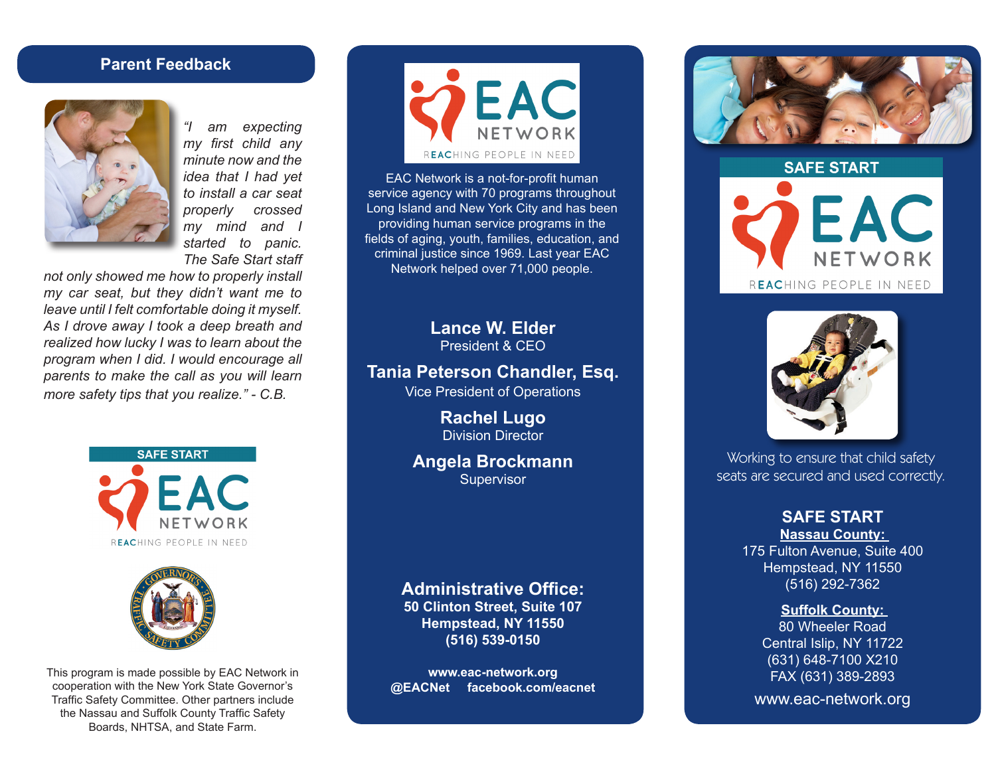#### **Parent Feedback**



*"I am expecting my first child any minute now and the idea that I had yet to install a car seat properly crossed my mind and I started to panic. The Safe Start staff* 

*not only showed me how to properly install my car seat, but they didn't want me to leave until I felt comfortable doing it myself. As I drove away I took a deep breath and realized how lucky I was to learn about the program when I did. I would encourage all parents to make the call as you will learn more safety tips that you realize." - C.B.*





This program is made possible by EAC Network in cooperation with the New York State Governor's Traffic Safety Committee. Other partners include the Nassau and Suffolk County Traffic Safety Boards, NHTSA, and State Farm.



EAC Network is a not-for-profit human service agency with 70 programs throughout Long Island and New York City and has been providing human service programs in the fields of aging, youth, families, education, and criminal justice since 1969. Last year EAC Network helped over 71,000 people.

> **Lance W. Elder** President & CEO

**Tania Peterson Chandler, Esq.**

Vice President of Operations

**Rachel Lugo** Division Director

**Angela Brockmann Supervisor** 

#### **Administrative Office:**

**50 Clinton Street, Suite 107 Hempstead, NY 11550 (516) 539-0150**

**www.eac-network.org @EACNet facebook.com/eacnet**



**SAFE START** EAC NETWORK REACHING PEOPLE IN NEED



Working to ensure that child safety seats are secured and used correctly.

#### **SAFE START Nassau County:**

175 Fulton Avenue, Suite 400 Hempstead, NY 11550 (516) 292-7362

#### **Suffolk County:**

80 Wheeler Road Central Islip, NY 11722 (631) 648-7100 X210 FAX (631) 389-2893

www.eac-network.org